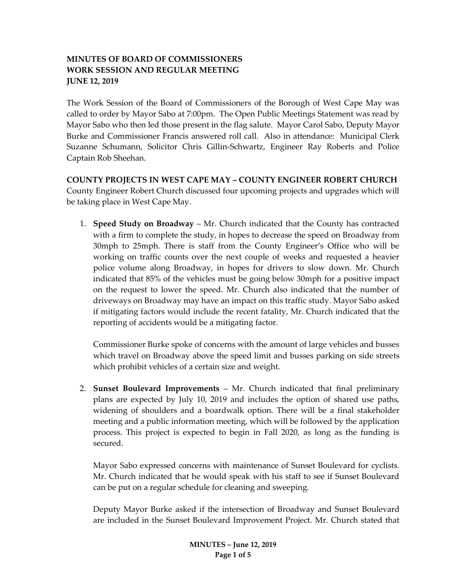# **MINUTES OF BOARD OF COMMISSIONERS WORK SESSION AND REGULAR MEETING JUNE 12, 2019**

The Work Session of the Board of Commissioners of the Borough of West Cape May was called to order by Mayor Sabo at 7:00pm. The Open Public Meetings Statement was read by Mayor Sabo who then led those present in the flag salute. Mayor Carol Sabo, Deputy Mayor Burke and Commissioner Francis answered roll call. Also in attendance: Municipal Clerk Suzanne Schumann, Solicitor Chris Gillin-Schwartz, Engineer Ray Roberts and Police Captain Rob Sheehan.

**COUNTY PROJECTS IN WEST CAPE MAY – COUNTY ENGINEER ROBERT CHURCH** County Engineer Robert Church discussed four upcoming projects and upgrades which will be taking place in West Cape May.

1. **Speed Study on Broadway** – Mr. Church indicated that the County has contracted with a firm to complete the study, in hopes to decrease the speed on Broadway from 30mph to 25mph. There is staff from the County Engineer's Office who will be working on traffic counts over the next couple of weeks and requested a heavier police volume along Broadway, in hopes for drivers to slow down. Mr. Church indicated that 85% of the vehicles must be going below 30mph for a positive impact on the request to lower the speed. Mr. Church also indicated that the number of driveways on Broadway may have an impact on this traffic study. Mayor Sabo asked if mitigating factors would include the recent fatality, Mr. Church indicated that the reporting of accidents would be a mitigating factor.

Commissioner Burke spoke of concerns with the amount of large vehicles and busses which travel on Broadway above the speed limit and busses parking on side streets which prohibit vehicles of a certain size and weight.

2. **Sunset Boulevard Improvements** – Mr. Church indicated that final preliminary plans are expected by July 10, 2019 and includes the option of shared use paths, widening of shoulders and a boardwalk option. There will be a final stakeholder meeting and a public information meeting, which will be followed by the application process. This project is expected to begin in Fall 2020, as long as the funding is secured.

Mayor Sabo expressed concerns with maintenance of Sunset Boulevard for cyclists. Mr. Church indicated that he would speak with his staff to see if Sunset Boulevard can be put on a regular schedule for cleaning and sweeping.

Deputy Mayor Burke asked if the intersection of Broadway and Sunset Boulevard are included in the Sunset Boulevard Improvement Project. Mr. Church stated that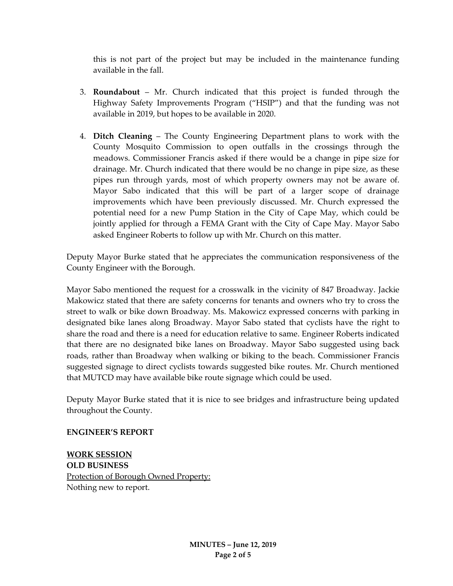this is not part of the project but may be included in the maintenance funding available in the fall.

- 3. **Roundabout** Mr. Church indicated that this project is funded through the Highway Safety Improvements Program ("HSIP") and that the funding was not available in 2019, but hopes to be available in 2020.
- 4. **Ditch Cleaning**  The County Engineering Department plans to work with the County Mosquito Commission to open outfalls in the crossings through the meadows. Commissioner Francis asked if there would be a change in pipe size for drainage. Mr. Church indicated that there would be no change in pipe size, as these pipes run through yards, most of which property owners may not be aware of. Mayor Sabo indicated that this will be part of a larger scope of drainage improvements which have been previously discussed. Mr. Church expressed the potential need for a new Pump Station in the City of Cape May, which could be jointly applied for through a FEMA Grant with the City of Cape May. Mayor Sabo asked Engineer Roberts to follow up with Mr. Church on this matter.

Deputy Mayor Burke stated that he appreciates the communication responsiveness of the County Engineer with the Borough.

Mayor Sabo mentioned the request for a crosswalk in the vicinity of 847 Broadway. Jackie Makowicz stated that there are safety concerns for tenants and owners who try to cross the street to walk or bike down Broadway. Ms. Makowicz expressed concerns with parking in designated bike lanes along Broadway. Mayor Sabo stated that cyclists have the right to share the road and there is a need for education relative to same. Engineer Roberts indicated that there are no designated bike lanes on Broadway. Mayor Sabo suggested using back roads, rather than Broadway when walking or biking to the beach. Commissioner Francis suggested signage to direct cyclists towards suggested bike routes. Mr. Church mentioned that MUTCD may have available bike route signage which could be used.

Deputy Mayor Burke stated that it is nice to see bridges and infrastructure being updated throughout the County.

#### **ENGINEER'S REPORT**

**WORK SESSION OLD BUSINESS** Protection of Borough Owned Property: Nothing new to report.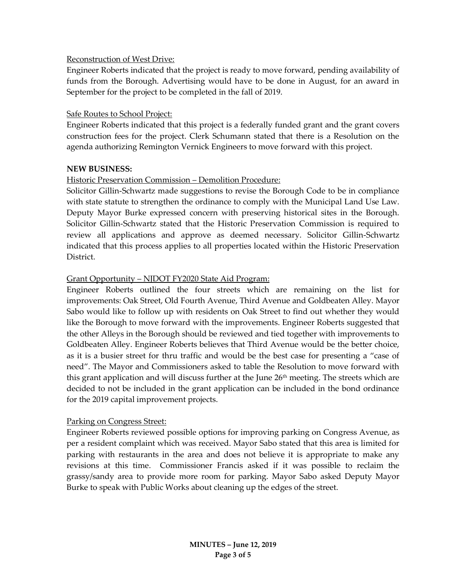## Reconstruction of West Drive:

Engineer Roberts indicated that the project is ready to move forward, pending availability of funds from the Borough. Advertising would have to be done in August, for an award in September for the project to be completed in the fall of 2019.

## Safe Routes to School Project:

Engineer Roberts indicated that this project is a federally funded grant and the grant covers construction fees for the project. Clerk Schumann stated that there is a Resolution on the agenda authorizing Remington Vernick Engineers to move forward with this project.

## **NEW BUSINESS:**

# Historic Preservation Commission – Demolition Procedure:

Solicitor Gillin-Schwartz made suggestions to revise the Borough Code to be in compliance with state statute to strengthen the ordinance to comply with the Municipal Land Use Law. Deputy Mayor Burke expressed concern with preserving historical sites in the Borough. Solicitor Gillin-Schwartz stated that the Historic Preservation Commission is required to review all applications and approve as deemed necessary. Solicitor Gillin-Schwartz indicated that this process applies to all properties located within the Historic Preservation District.

## Grant Opportunity – NJDOT FY2020 State Aid Program:

Engineer Roberts outlined the four streets which are remaining on the list for improvements: Oak Street, Old Fourth Avenue, Third Avenue and Goldbeaten Alley. Mayor Sabo would like to follow up with residents on Oak Street to find out whether they would like the Borough to move forward with the improvements. Engineer Roberts suggested that the other Alleys in the Borough should be reviewed and tied together with improvements to Goldbeaten Alley. Engineer Roberts believes that Third Avenue would be the better choice, as it is a busier street for thru traffic and would be the best case for presenting a "case of need". The Mayor and Commissioners asked to table the Resolution to move forward with this grant application and will discuss further at the June 26<sup>th</sup> meeting. The streets which are decided to not be included in the grant application can be included in the bond ordinance for the 2019 capital improvement projects.

#### Parking on Congress Street:

Engineer Roberts reviewed possible options for improving parking on Congress Avenue, as per a resident complaint which was received. Mayor Sabo stated that this area is limited for parking with restaurants in the area and does not believe it is appropriate to make any revisions at this time. Commissioner Francis asked if it was possible to reclaim the grassy/sandy area to provide more room for parking. Mayor Sabo asked Deputy Mayor Burke to speak with Public Works about cleaning up the edges of the street.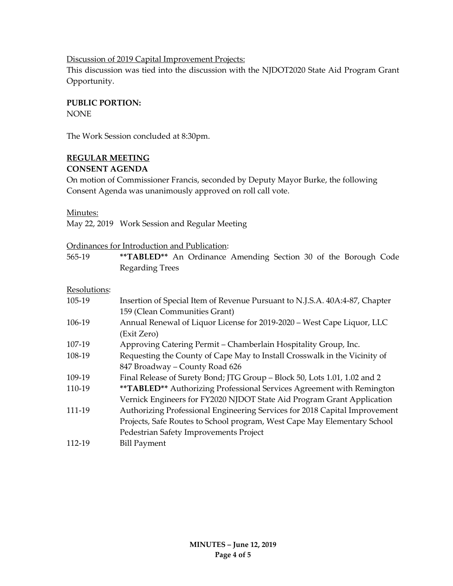#### Discussion of 2019 Capital Improvement Projects:

This discussion was tied into the discussion with the NJDOT2020 State Aid Program Grant Opportunity.

## **PUBLIC PORTION:**

NONE

The Work Session concluded at 8:30pm.

# **REGULAR MEETING**

## **CONSENT AGENDA**

On motion of Commissioner Francis, seconded by Deputy Mayor Burke, the following Consent Agenda was unanimously approved on roll call vote.

#### Minutes:

May 22, 2019 Work Session and Regular Meeting

## Ordinances for Introduction and Publication:

565-19 **\*\*TABLED\*\*** An Ordinance Amending Section 30 of the Borough Code Regarding Trees

# Resolutions:

| .      |                                                                             |
|--------|-----------------------------------------------------------------------------|
| 105-19 | Insertion of Special Item of Revenue Pursuant to N.J.S.A. 40A:4-87, Chapter |
|        | 159 (Clean Communities Grant)                                               |
| 106-19 | Annual Renewal of Liquor License for 2019-2020 - West Cape Liquor, LLC      |
|        | (Exit Zero)                                                                 |
| 107-19 | Approving Catering Permit - Chamberlain Hospitality Group, Inc.             |
| 108-19 | Requesting the County of Cape May to Install Crosswalk in the Vicinity of   |
|        | 847 Broadway - County Road 626                                              |
| 109-19 | Final Release of Surety Bond; JTG Group - Block 50, Lots 1.01, 1.02 and 2   |
| 110-19 | ** TABLED** Authorizing Professional Services Agreement with Remington      |
|        | Vernick Engineers for FY2020 NJDOT State Aid Program Grant Application      |
| 111-19 | Authorizing Professional Engineering Services for 2018 Capital Improvement  |
|        | Projects, Safe Routes to School program, West Cape May Elementary School    |
|        | Pedestrian Safety Improvements Project                                      |
| 112-19 | <b>Bill Payment</b>                                                         |